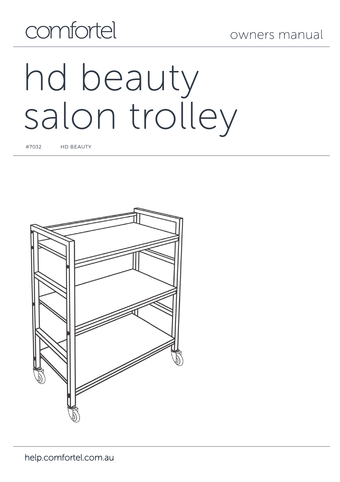

# hd beauty salon trolley

#7032 HD BEAUTY

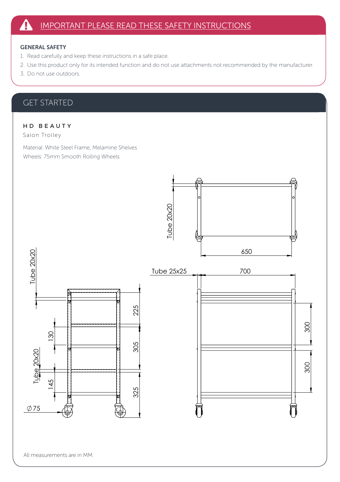## GENERAL SAFETY

- 1. Read carefully and keep these instructions in a safe place.
- 2. Use this product only for its intended function and do not use attachments not recommended by the manufacturer.
- 3. Do not use outdoors.

# GET STARTED

# H D B E A U T Y

Salon Trolley

Material: White Steel Frame, Melamine Shelves Wheels: 75mm Smooth Rolling Wheels

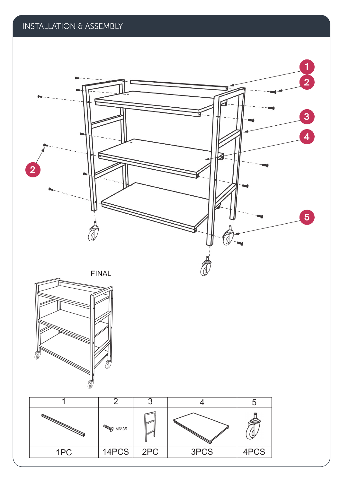INSTALLATION & ASSEMBLY